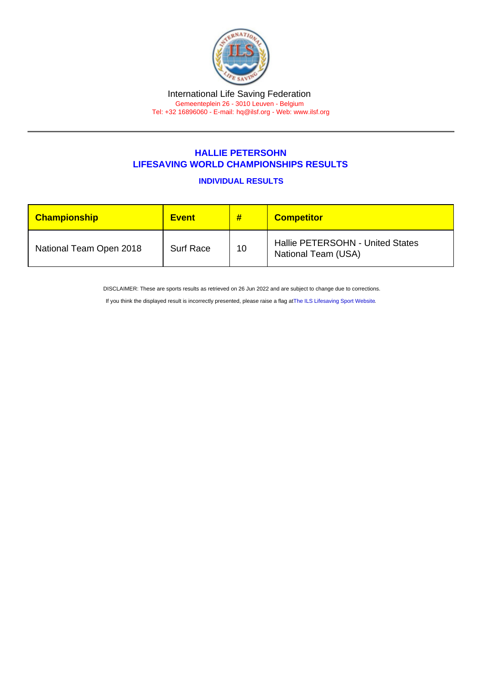## HALLIE PETERSOHN LIFESAVING WORLD CHAMPIONSHIPS RESULTS

INDIVIDUAL RESULTS

| <b>Championship</b>     | Event            | #  | <b>Competitor</b>                                       |
|-------------------------|------------------|----|---------------------------------------------------------|
| National Team Open 2018 | <b>Surf Race</b> | 10 | Hallie PETERSOHN - United States<br>National Team (USA) |

DISCLAIMER: These are sports results as retrieved on 26 Jun 2022 and are subject to change due to corrections.

If you think the displayed result is incorrectly presented, please raise a flag at [The ILS Lifesaving Sport Website.](https://sport.ilsf.org)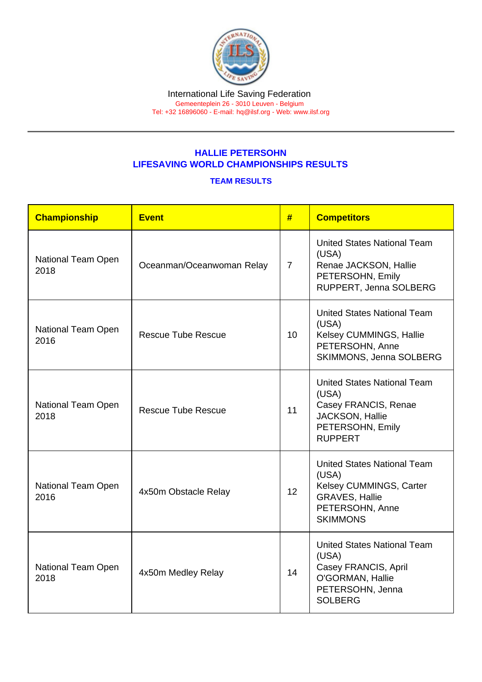## HALLIE PETERSOHN LIFESAVING WORLD CHAMPIONSHIPS RESULTS

## TEAM RESULTS

| Championship                                     | <b>Event</b>              | #              | <b>Competitors</b>                                                                                                                    |
|--------------------------------------------------|---------------------------|----------------|---------------------------------------------------------------------------------------------------------------------------------------|
| National Team Open<br>2018                       | Oceanman/Oceanwoman Relay | $\overline{7}$ | <b>United States National Team</b><br>(USA)<br>Renae JACKSON, Hallie<br>PETERSOHN, Emily<br>RUPPERT, Jenna SOLBERG                    |
| National Team Open<br>2016                       | <b>Rescue Tube Rescue</b> | 10             | <b>United States National Team</b><br>(USA)<br>Kelsey CUMMINGS, Hallie<br>PETERSOHN, Anne<br>SKIMMONS, Jenna SOLBERG                  |
| National Team Open<br>2018                       | <b>Rescue Tube Rescue</b> | 11             | <b>United States National Team</b><br>(USA)<br>Casey FRANCIS, Renae<br>JACKSON, Hallie<br>PETERSOHN, Emily<br><b>RUPPERT</b>          |
| National Team Open<br>2016                       | 4x50m Obstacle Relay      | 12             | <b>United States National Team</b><br>(USA)<br>Kelsey CUMMINGS, Carter<br><b>GRAVES, Hallie</b><br>PETERSOHN, Anne<br><b>SKIMMONS</b> |
| National Team Open<br>4x50m Medley Relay<br>2018 |                           | 14             | <b>United States National Team</b><br>(USA)<br>Casey FRANCIS, April<br>O'GORMAN, Hallie<br>PETERSOHN, Jenna<br><b>SOLBERG</b>         |